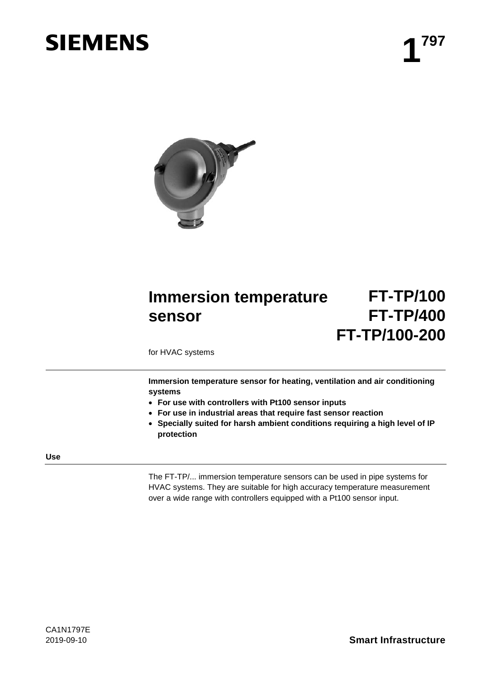# **SIEMENS** 4<sup>797</sup>



# **Immersion temperature sensor FT-TP/100 FT-TP/400 FT-TP/100-200**

for HVAC systems

**Immersion temperature sensor for heating, ventilation and air conditioning systems**

- **For use with controllers with Pt100 sensor inputs**
- **For use in industrial areas that require fast sensor reaction**
- **Specially suited for harsh ambient conditions requiring a high level of IP protection**

#### **Use**

The FT-TP/... immersion temperature sensors can be used in pipe systems for HVAC systems. They are suitable for high accuracy temperature measurement over a wide range with controllers equipped with a Pt100 sensor input.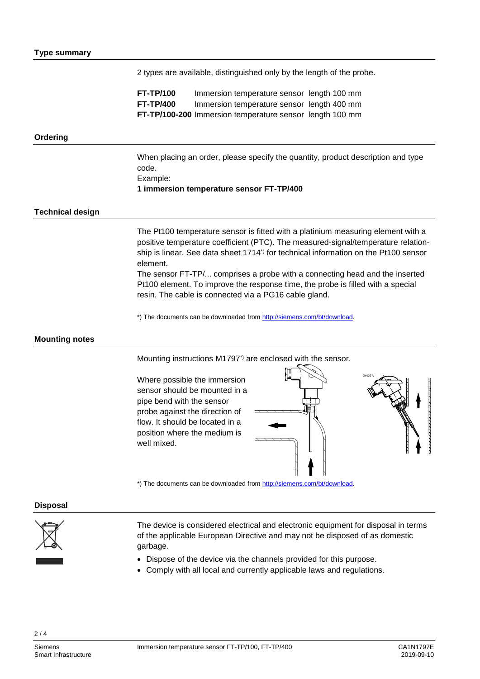2 types are available, distinguished only by the length of the probe.

**FT-TP/100** Immersion temperature sensor length 100 mm **FT-TP/400** Immersion temperature sensor length 400 mm **FT-TP/100-200** Immersion temperature sensor length 100 mm

## **Ordering**

When placing an order, please specify the quantity, product description and type code. Example: **1 immersion temperature sensor FT-TP/400**

#### **Technical design**

The Pt100 temperature sensor is fitted with a platinium measuring element with a positive temperature coefficient (PTC). The measured-signal/temperature relationship is linear. See data sheet 1714\*) for technical information on the Pt100 sensor element.

The sensor FT-TP/... comprises a probe with a connecting head and the inserted Pt100 element. To improve the response time, the probe is filled with a special resin. The cable is connected via a PG16 cable gland.

\*) The documents can be downloaded from [http://siemens.com/bt/download.](http://siemens.com/bt/download)

### **Mounting notes**

Mounting instructions M1797\*) are enclosed with the sensor.

Where possible the immersion sensor should be mounted in a pipe bend with the sensor probe against the direction of flow. It should be located in a position where the medium is well mixed.





\*) The documents can be downloaded from [http://siemens.com/bt/download.](http://siemens.com/bt/download)

#### **Disposal**



The device is considered electrical and electronic equipment for disposal in terms of the applicable European Directive and may not be disposed of as domestic garbage.

- Dispose of the device via the channels provided for this purpose.
- Comply with all local and currently applicable laws and regulations.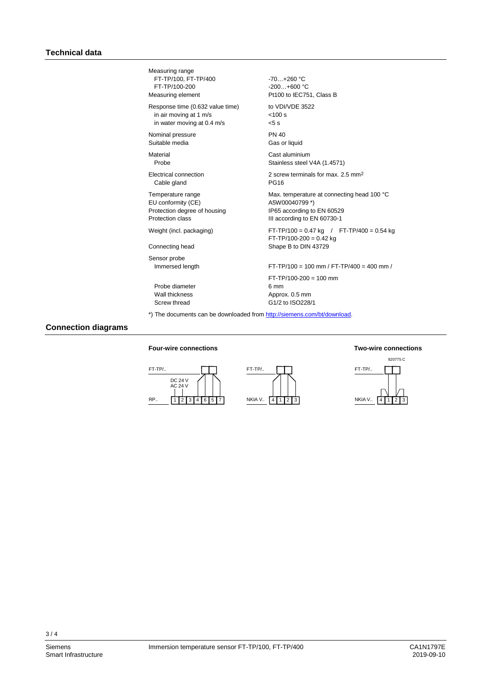| Measuring range<br>FT-TP/100, FT-TP/400<br>FT-TP/100-200<br>Measuring element | $-70. +260 °C$<br>$-200+600$ °C<br>Pt100 to IEC751, Class B                |
|-------------------------------------------------------------------------------|----------------------------------------------------------------------------|
| Response time (0.632 value time)                                              | to VDI/VDF 3522                                                            |
| in air moving at 1 m/s                                                        | < 100 s                                                                    |
| in water moving at 0.4 m/s                                                    | $5$ s                                                                      |
| Nominal pressure                                                              | <b>PN 40</b>                                                               |
| Suitable media                                                                | Gas or liquid                                                              |
| Material                                                                      | Cast aluminium                                                             |
| Probe                                                                         | Stainless steel V4A (1.4571)                                               |
| <b>Electrical connection</b>                                                  | 2 screw terminals for max, 2.5 mm <sup>2</sup>                             |
| Cable gland                                                                   | <b>PG16</b>                                                                |
| Temperature range                                                             | Max. temperature at connecting head 100 °C                                 |
| EU conformity (CE)                                                            | A5W00040799*)                                                              |
| Protection degree of housing                                                  | IP65 according to EN 60529                                                 |
| Protection class                                                              | III according to EN 60730-1                                                |
| Weight (incl. packaging)                                                      | $FT-TP/100 = 0.47$ kg / $FT-TP/400 = 0.54$ kg<br>$FT-TP/100-200 = 0.42$ kg |
| Connecting head                                                               | Shape B to DIN 43729                                                       |
| Sensor probe<br>Immersed length                                               | $FT-TP/100 = 100$ mm / $FT-TP/400 = 400$ mm /                              |
| Probe diameter<br>Wall thickness<br>Screw thread                              | $FT-TP/100-200 = 100$ mm<br>6 mm<br>Approx. 0.5 mm<br>G1/2 to ISO228/1     |

## **Connection diagrams**

#### **Four-wire connections Two-wire connections**

# $1 2 3 3$ RP.. FT-TP/.. DC 24 V AC 24 V





 $3/4$